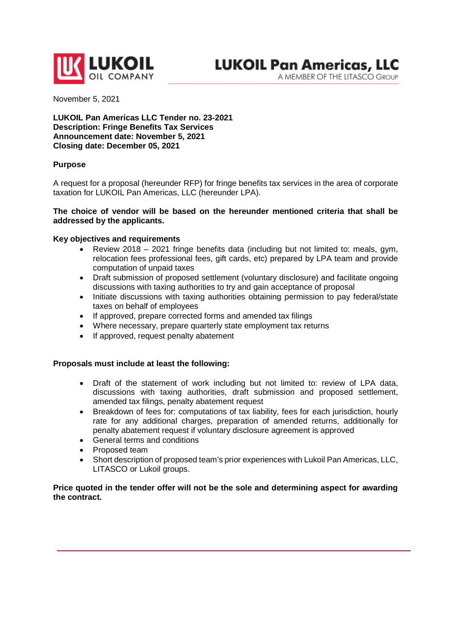

A MEMBER OF THE LITASCO GROUP

November 5, 2021

**LUKOIL Pan Americas LLC Tender no. 23-2021 Description: Fringe Benefits Tax Services Announcement date: November 5, 2021 Closing date: December 05, 2021**

#### **Purpose**

A request for a proposal (hereunder RFP) for fringe benefits tax services in the area of corporate taxation for LUKOIL Pan Americas, LLC (hereunder LPA).

## **The choice of vendor will be based on the hereunder mentioned criteria that shall be addressed by the applicants.**

#### **Key objectives and requirements**

- Review 2018 2021 fringe benefits data (including but not limited to: meals, gym, relocation fees professional fees, gift cards, etc) prepared by LPA team and provide computation of unpaid taxes
- Draft submission of proposed settlement (voluntary disclosure) and facilitate ongoing discussions with taxing authorities to try and gain acceptance of proposal
- Initiate discussions with taxing authorities obtaining permission to pay federal/state taxes on behalf of employees
- If approved, prepare corrected forms and amended tax filings
- Where necessary, prepare quarterly state employment tax returns
- If approved, request penalty abatement

#### **Proposals must include at least the following:**

- Draft of the statement of work including but not limited to: review of LPA data, discussions with taxing authorities, draft submission and proposed settlement, amended tax filings, penalty abatement request
- Breakdown of fees for: computations of tax liability, fees for each jurisdiction, hourly rate for any additional charges, preparation of amended returns, additionally for penalty abatement request if voluntary disclosure agreement is approved
- General terms and conditions
- Proposed team
- Short description of proposed team's prior experiences with Lukoil Pan Americas, LLC, LITASCO or Lukoil groups.

## **Price quoted in the tender offer will not be the sole and determining aspect for awarding the contract.**